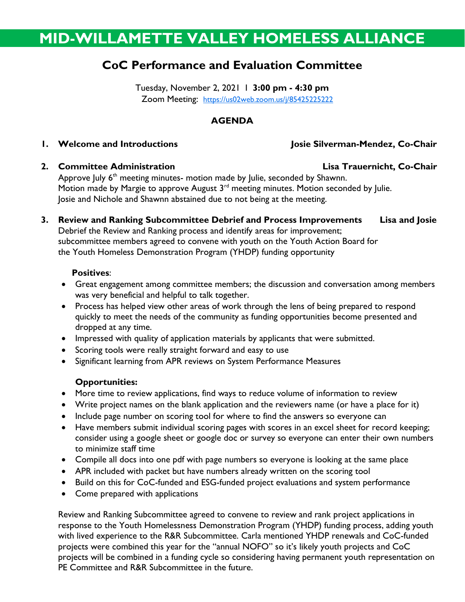# MID-WILLAMETTE VALLEY HOMELESS ALLIANCE

## CoC Performance and Evaluation Committee

Tuesday, November 2, 2021 I 3:00 pm - 4:30 pm Zoom Meeting: https://us02web.zoom.us/j/85425225222

#### AGENDA

### 1. Welcome and Introductions and Introductions and Introductions and Interventional Assembly Josie Silverman-Mendez, Co-Chair

#### 2. Committee Administration **Lisa Trauernicht, Co-Chair**

Approve July 6<sup>th</sup> meeting minutes- motion made by Julie, seconded by Shawnn. Motion made by Margie to approve August 3<sup>rd</sup> meeting minutes. Motion seconded by Julie. Josie and Nichole and Shawnn abstained due to not being at the meeting.

3. Review and Ranking Subcommittee Debrief and Process Improvements Lisa and Josie Debrief the Review and Ranking process and identify areas for improvement; subcommittee members agreed to convene with youth on the Youth Action Board for the Youth Homeless Demonstration Program (YHDP) funding opportunity

#### Positives:

- Great engagement among committee members; the discussion and conversation among members was very beneficial and helpful to talk together.
- Process has helped view other areas of work through the lens of being prepared to respond quickly to meet the needs of the community as funding opportunities become presented and dropped at any time.
- Impressed with quality of application materials by applicants that were submitted.
- Scoring tools were really straight forward and easy to use
- Significant learning from APR reviews on System Performance Measures

#### Opportunities:

- More time to review applications, find ways to reduce volume of information to review
- Write project names on the blank application and the reviewers name (or have a place for it)
- Include page number on scoring tool for where to find the answers so everyone can
- Have members submit individual scoring pages with scores in an excel sheet for record keeping; consider using a google sheet or google doc or survey so everyone can enter their own numbers to minimize staff time
- Compile all docs into one pdf with page numbers so everyone is looking at the same place
- APR included with packet but have numbers already written on the scoring tool
- Build on this for CoC-funded and ESG-funded project evaluations and system performance
- Come prepared with applications

Review and Ranking Subcommittee agreed to convene to review and rank project applications in response to the Youth Homelessness Demonstration Program (YHDP) funding process, adding youth with lived experience to the R&R Subcommittee. Carla mentioned YHDP renewals and CoC-funded projects were combined this year for the "annual NOFO" so it's likely youth projects and CoC projects will be combined in a funding cycle so considering having permanent youth representation on PE Committee and R&R Subcommittee in the future.